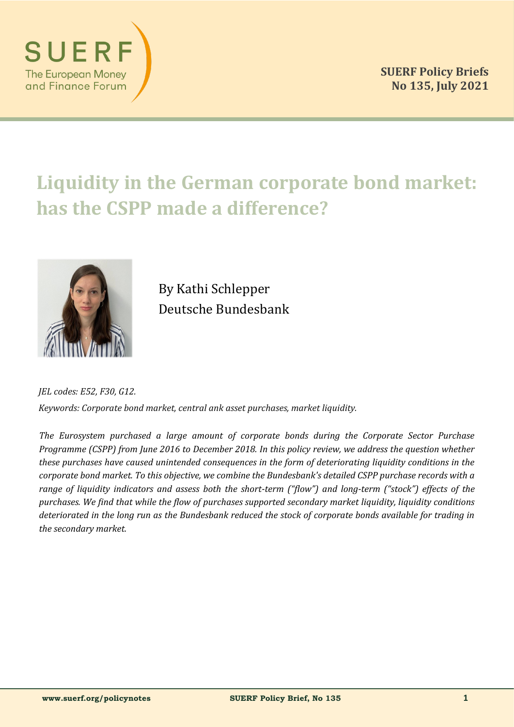

# **Liquidity in the German corporate bond market: has the CSPP made a difference?**



By Kathi Schlepper Deutsche Bundesbank

*JEL codes: E52, F30, G12. Keywords: Corporate bond market, central ank asset purchases, market liquidity.*

*The Eurosystem purchased a large amount of corporate bonds during the Corporate Sector Purchase Programme (CSPP) from June 2016 to December 2018. In this policy review, we address the question whether these purchases have caused unintended consequences in the form of deteriorating liquidity conditions in the corporate bond market. To this objective, we combine the Bundesbank's detailed CSPP purchase records with a range of liquidity indicators and assess both the short-term ("flow") and long-term ("stock") effects of the purchases. We find that while the flow of purchases supported secondary market liquidity, liquidity conditions deteriorated in the long run as the Bundesbank reduced the stock of corporate bonds available for trading in the secondary market.*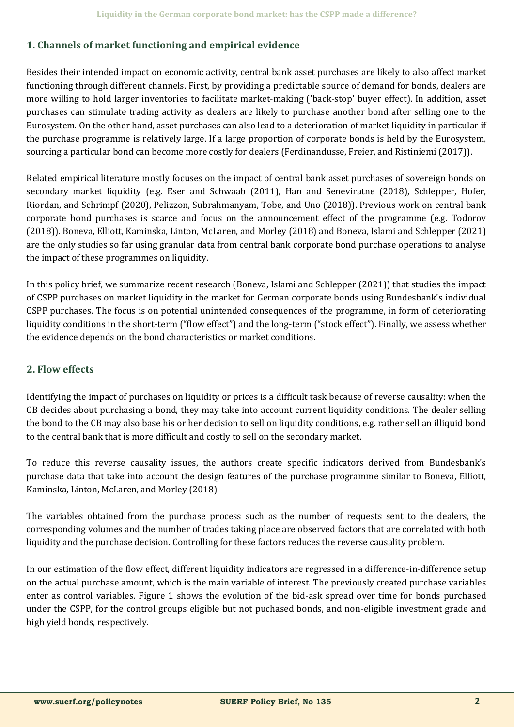## **1. Channels of market functioning and empirical evidence**

Besides their intended impact on economic activity, central bank asset purchases are likely to also affect market functioning through different channels. First, by providing a predictable source of demand for bonds, dealers are more willing to hold larger inventories to facilitate market-making ('back-stop' buyer effect). In addition, asset purchases can stimulate trading activity as dealers are likely to purchase another bond after selling one to the Eurosystem. On the other hand, asset purchases can also lead to a deterioration of market liquidity in particular if the purchase programme is relatively large. If a large proportion of corporate bonds is held by the Eurosystem, sourcing a particular bond can become more costly for dealers (Ferdinandusse, Freier, and Ristiniemi (2017)).

Related empirical literature mostly focuses on the impact of central bank asset purchases of sovereign bonds on secondary market liquidity (e.g. Eser and Schwaab (2011), Han and Seneviratne (2018), Schlepper, Hofer, Riordan, and Schrimpf (2020), Pelizzon, Subrahmanyam, Tobe, and Uno (2018)). Previous work on central bank corporate bond purchases is scarce and focus on the announcement effect of the programme (e.g. Todorov (2018)). Boneva, Elliott, Kaminska, Linton, McLaren, and Morley (2018) and Boneva, Islami and Schlepper (2021) are the only studies so far using granular data from central bank corporate bond purchase operations to analyse the impact of these programmes on liquidity.

In this policy brief, we summarize recent research (Boneva, Islami and Schlepper (2021)) that studies the impact of CSPP purchases on market liquidity in the market for German corporate bonds using Bundesbank's individual CSPP purchases. The focus is on potential unintended consequences of the programme, in form of deteriorating liquidity conditions in the short-term ("flow effect") and the long-term ("stock effect"). Finally, we assess whether the evidence depends on the bond characteristics or market conditions.

## **2. Flow effects**

Identifying the impact of purchases on liquidity or prices is a difficult task because of reverse causality: when the CB decides about purchasing a bond, they may take into account current liquidity conditions. The dealer selling the bond to the CB may also base his or her decision to sell on liquidity conditions, e.g. rather sell an illiquid bond to the central bank that is more difficult and costly to sell on the secondary market.

To reduce this reverse causality issues, the authors create specific indicators derived from Bundesbank's purchase data that take into account the design features of the purchase programme similar to Boneva, Elliott, Kaminska, Linton, McLaren, and Morley (2018).

The variables obtained from the purchase process such as the number of requests sent to the dealers, the corresponding volumes and the number of trades taking place are observed factors that are correlated with both liquidity and the purchase decision. Controlling for these factors reduces the reverse causality problem.

In our estimation of the flow effect, different liquidity indicators are regressed in a difference-in-difference setup on the actual purchase amount, which is the main variable of interest. The previously created purchase variables enter as control variables. Figure 1 shows the evolution of the bid-ask spread over time for bonds purchased under the CSPP, for the control groups eligible but not puchased bonds, and non-eligible investment grade and high yield bonds, respectively.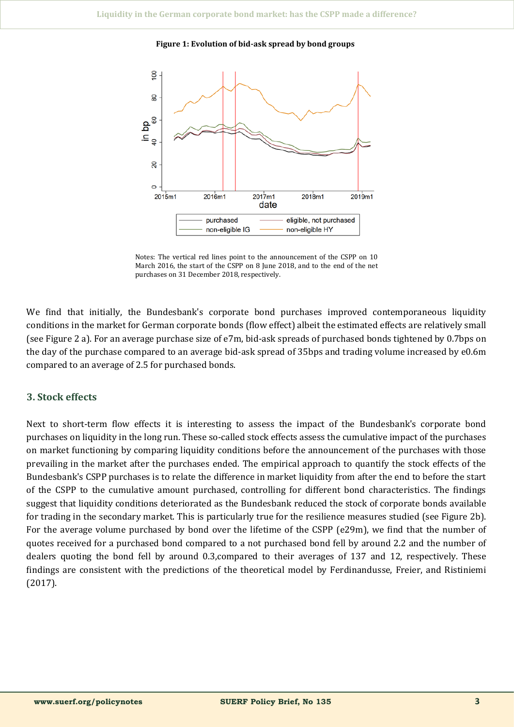**Figure 1: Evolution of bid-ask spread by bond groups**



Notes: The vertical red lines point to the announcement of the CSPP on 10 March 2016, the start of the CSPP on 8 June 2018, and to the end of the net purchases on 31 December 2018, respectively.

We find that initially, the Bundesbank's corporate bond purchases improved contemporaneous liquidity conditions in the market for German corporate bonds (flow effect) albeit the estimated effects are relatively small (see Figure 2 a). For an average purchase size of e7m, bid-ask spreads of purchased bonds tightened by 0.7bps on the day of the purchase compared to an average bid-ask spread of 35bps and trading volume increased by e0.6m compared to an average of 2.5 for purchased bonds.

## **3. Stock effects**

Next to short-term flow effects it is interesting to assess the impact of the Bundesbank's corporate bond purchases on liquidity in the long run. These so-called stock effects assess the cumulative impact of the purchases on market functioning by comparing liquidity conditions before the announcement of the purchases with those prevailing in the market after the purchases ended. The empirical approach to quantify the stock effects of the Bundesbank's CSPP purchases is to relate the difference in market liquidity from after the end to before the start of the CSPP to the cumulative amount purchased, controlling for different bond characteristics. The findings suggest that liquidity conditions deteriorated as the Bundesbank reduced the stock of corporate bonds available for trading in the secondary market. This is particularly true for the resilience measures studied (see Figure 2b). For the average volume purchased by bond over the lifetime of the CSPP (e29m), we find that the number of quotes received for a purchased bond compared to a not purchased bond fell by around 2.2 and the number of dealers quoting the bond fell by around 0.3,compared to their averages of 137 and 12, respectively. These findings are consistent with the predictions of the theoretical model by Ferdinandusse, Freier, and Ristiniemi (2017).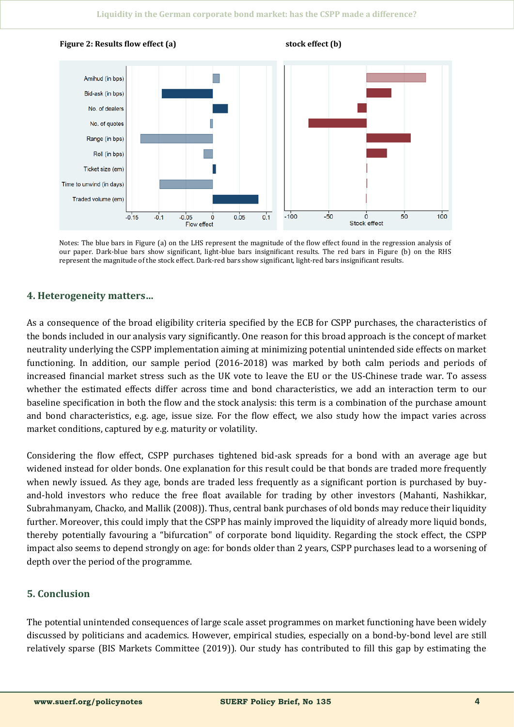

Notes: The blue bars in Figure (a) on the LHS represent the magnitude of the flow effect found in the regression analysis of our paper. Dark-blue bars show significant, light-blue bars insignificant results. The red bars in Figure (b) on the RHS represent the magnitude of the stock effect. Dark-red bars show significant, light-red bars insignificant results.

# **4. Heterogeneity matters…**

As a consequence of the broad eligibility criteria specified by the ECB for CSPP purchases, the characteristics of the bonds included in our analysis vary significantly. One reason for this broad approach is the concept of market neutrality underlying the CSPP implementation aiming at minimizing potential unintended side effects on market functioning. In addition, our sample period (2016-2018) was marked by both calm periods and periods of increased financial market stress such as the UK vote to leave the EU or the US-Chinese trade war. To assess whether the estimated effects differ across time and bond characteristics, we add an interaction term to our baseline specification in both the flow and the stock analysis: this term is a combination of the purchase amount and bond characteristics, e.g. age, issue size. For the flow effect, we also study how the impact varies across market conditions, captured by e.g. maturity or volatility.

Considering the flow effect, CSPP purchases tightened bid-ask spreads for a bond with an average age but widened instead for older bonds. One explanation for this result could be that bonds are traded more frequently when newly issued. As they age, bonds are traded less frequently as a significant portion is purchased by buyand-hold investors who reduce the free float available for trading by other investors (Mahanti, Nashikkar, Subrahmanyam, Chacko, and Mallik (2008)). Thus, central bank purchases of old bonds may reduce their liquidity further. Moreover, this could imply that the CSPP has mainly improved the liquidity of already more liquid bonds, thereby potentially favouring a "bifurcation" of corporate bond liquidity. Regarding the stock effect, the CSPP impact also seems to depend strongly on age: for bonds older than 2 years, CSPP purchases lead to a worsening of depth over the period of the programme.

## **5. Conclusion**

The potential unintended consequences of large scale asset programmes on market functioning have been widely discussed by politicians and academics. However, empirical studies, especially on a bond-by-bond level are still relatively sparse (BIS Markets Committee (2019)). Our study has contributed to fill this gap by estimating the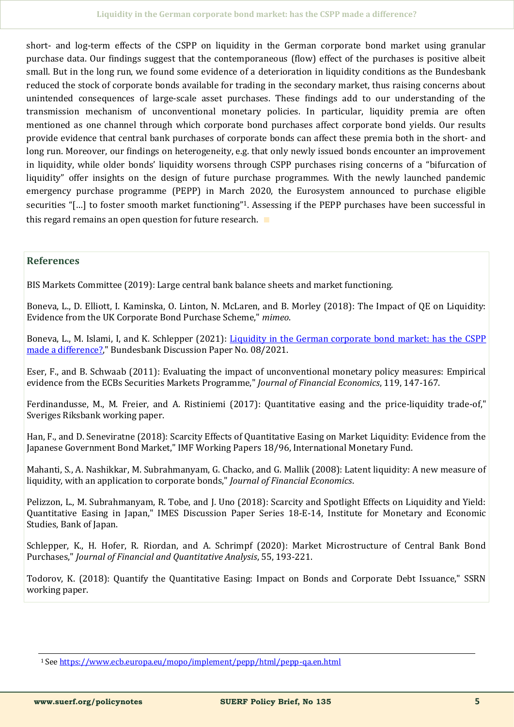short- and log-term effects of the CSPP on liquidity in the German corporate bond market using granular purchase data. Our findings suggest that the contemporaneous (flow) effect of the purchases is positive albeit small. But in the long run, we found some evidence of a deterioration in liquidity conditions as the Bundesbank reduced the stock of corporate bonds available for trading in the secondary market, thus raising concerns about unintended consequences of large-scale asset purchases. These findings add to our understanding of the transmission mechanism of unconventional monetary policies. In particular, liquidity premia are often mentioned as one channel through which corporate bond purchases affect corporate bond yields. Our results provide evidence that central bank purchases of corporate bonds can affect these premia both in the short- and long run. Moreover, our findings on heterogeneity, e.g. that only newly issued bonds encounter an improvement in liquidity, while older bonds' liquidity worsens through CSPP purchases rising concerns of a "bifurcation of liquidity" offer insights on the design of future purchase programmes. With the newly launched pandemic emergency purchase programme (PEPP) in March 2020, the Eurosystem announced to purchase eligible securities "[...] to foster smooth market functioning"<sup>1</sup>. Assessing if the PEPP purchases have been successful in this regard remains an open question for future research. ∎

# **References**

BIS Markets Committee (2019): Large central bank balance sheets and market functioning.

Boneva, L., D. Elliott, I. Kaminska, O. Linton, N. McLaren, and B. Morley (2018): The Impact of QE on Liquidity: Evidence from the UK Corporate Bond Purchase Scheme," *mimeo*.

Boneva, L., M. Islami, I, and K. Schlepper (2021): [Liquidity in the German corporate bond market: has the CSPP](https://www.bundesbank.de/resource/blob/861794/3ce6e1753c0789a0aa33ee20dd9acb07/mL/2021-03-22-dkp-08-data.pdf)  [made a difference?,"](https://www.bundesbank.de/resource/blob/861794/3ce6e1753c0789a0aa33ee20dd9acb07/mL/2021-03-22-dkp-08-data.pdf) Bundesbank Discussion Paper No. 08/2021.

Eser, F., and B. Schwaab (2011): Evaluating the impact of unconventional monetary policy measures: Empirical evidence from the ECBs Securities Markets Programme," *Journal of Financial Economics*, 119, 147-167.

Ferdinandusse, M., M. Freier, and A. Ristiniemi (2017): Quantitative easing and the price-liquidity trade-of," Sveriges Riksbank working paper.

Han, F., and D. Seneviratne (2018): Scarcity Effects of Quantitative Easing on Market Liquidity: Evidence from the Japanese Government Bond Market," IMF Working Papers 18/96, International Monetary Fund.

Mahanti, S., A. Nashikkar, M. Subrahmanyam, G. Chacko, and G. Mallik (2008): Latent liquidity: A new measure of liquidity, with an application to corporate bonds," *Journal of Financial Economics*.

Pelizzon, L., M. Subrahmanyam, R. Tobe, and J. Uno (2018): Scarcity and Spotlight Effects on Liquidity and Yield: Quantitative Easing in Japan," IMES Discussion Paper Series 18-E-14, Institute for Monetary and Economic Studies, Bank of Japan.

Schlepper, K., H. Hofer, R. Riordan, and A. Schrimpf (2020): Market Microstructure of Central Bank Bond Purchases," *Journal of Financial and Quantitative Analysis*, 55, 193-221.

Todorov, K. (2018): Quantify the Quantitative Easing: Impact on Bonds and Corporate Debt Issuance," SSRN working paper.

<sup>1</sup> See [https://www.ecb.europa.eu/mopo/implement/pepp/html/pepp](https://www.ecb.europa.eu/mopo/implement/pepp/html/pepp-qa.en.html)-qa.en.html